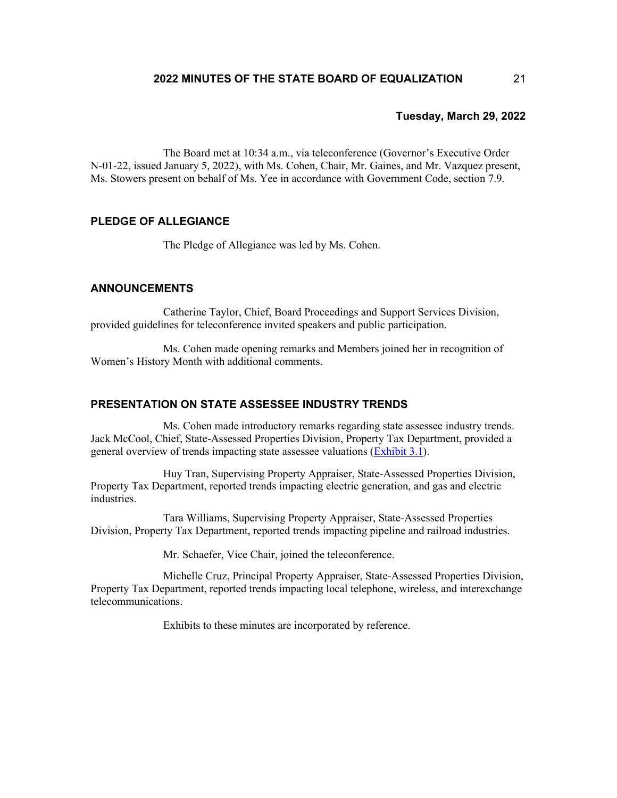The Board met at 10:34 a.m., via teleconference (Governor's Executive Order N-01-22, issued January 5, 2022), with Ms. Cohen, Chair, Mr. Gaines, and Mr. Vazquez present, Ms. Stowers present on behalf of Ms. Yee in accordance with Government Code, section 7.9.

# **PLEDGE OF ALLEGIANCE**

The Pledge of Allegiance was led by Ms. Cohen.

# **ANNOUNCEMENTS**

Catherine Taylor, Chief, Board Proceedings and Support Services Division, provided guidelines for teleconference invited speakers and public participation.

Ms. Cohen made opening remarks and Members joined her in recognition of Women's History Month with additional comments.

# **PRESENTATION ON STATE ASSESSEE INDUSTRY TRENDS**

Ms. Cohen made introductory remarks regarding state assessee industry trends. Jack McCool, Chief, State-Assessed Properties Division, Property Tax Department, provided a general overview of trends impacting state assessee valuations [\(Exhibit 3.1\)](https://www.boe.ca.gov/meetings/pdf/2022/032922-AA-Industry-Trends.pdf).

Huy Tran, Supervising Property Appraiser, State-Assessed Properties Division, Property Tax Department, reported trends impacting electric generation, and gas and electric industries.

Tara Williams, Supervising Property Appraiser, State-Assessed Properties Division, Property Tax Department, reported trends impacting pipeline and railroad industries.

Mr. Schaefer, Vice Chair, joined the teleconference.

Michelle Cruz, Principal Property Appraiser, State-Assessed Properties Division, Property Tax Department, reported trends impacting local telephone, wireless, and interexchange telecommunications.

Exhibits to these minutes are incorporated by reference.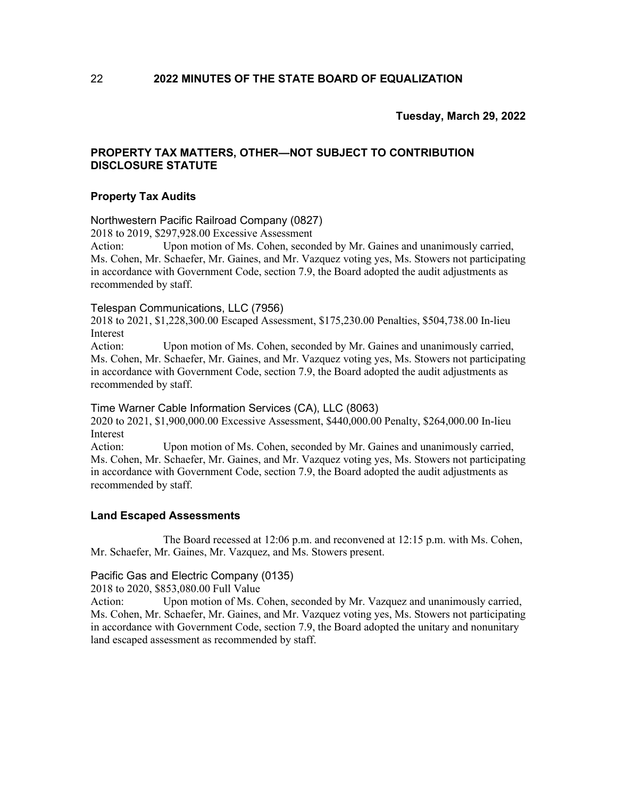# **PROPERTY TAX MATTERS, OTHER—NOT SUBJECT TO CONTRIBUTION DISCLOSURE STATUTE**

# **Property Tax Audits**

#### Northwestern Pacific Railroad Company (0827)

2018 to 2019, \$297,928.00 Excessive Assessment

Action: Upon motion of Ms. Cohen, seconded by Mr. Gaines and unanimously carried, Ms. Cohen, Mr. Schaefer, Mr. Gaines, and Mr. Vazquez voting yes, Ms. Stowers not participating in accordance with Government Code, section 7.9, the Board adopted the audit adjustments as recommended by staff.

#### Telespan Communications, LLC (7956)

2018 to 2021, \$1,228,300.00 Escaped Assessment, \$175,230.00 Penalties, \$504,738.00 In-lieu Interest

Action: Upon motion of Ms. Cohen, seconded by Mr. Gaines and unanimously carried, Ms. Cohen, Mr. Schaefer, Mr. Gaines, and Mr. Vazquez voting yes, Ms. Stowers not participating in accordance with Government Code, section 7.9, the Board adopted the audit adjustments as recommended by staff.

#### Time Warner Cable Information Services (CA), LLC (8063)

2020 to 2021, \$1,900,000.00 Excessive Assessment, \$440,000.00 Penalty, \$264,000.00 In-lieu Interest

Action: Upon motion of Ms. Cohen, seconded by Mr. Gaines and unanimously carried, Ms. Cohen, Mr. Schaefer, Mr. Gaines, and Mr. Vazquez voting yes, Ms. Stowers not participating in accordance with Government Code, section 7.9, the Board adopted the audit adjustments as recommended by staff.

### **Land Escaped Assessments**

The Board recessed at 12:06 p.m. and reconvened at 12:15 p.m. with Ms. Cohen, Mr. Schaefer, Mr. Gaines, Mr. Vazquez, and Ms. Stowers present.

# Pacific Gas and Electric Company (0135)

2018 to 2020, \$853,080.00 Full Value

Action: Upon motion of Ms. Cohen, seconded by Mr. Vazquez and unanimously carried, Ms. Cohen, Mr. Schaefer, Mr. Gaines, and Mr. Vazquez voting yes, Ms. Stowers not participating in accordance with Government Code, section 7.9, the Board adopted the unitary and nonunitary land escaped assessment as recommended by staff.

22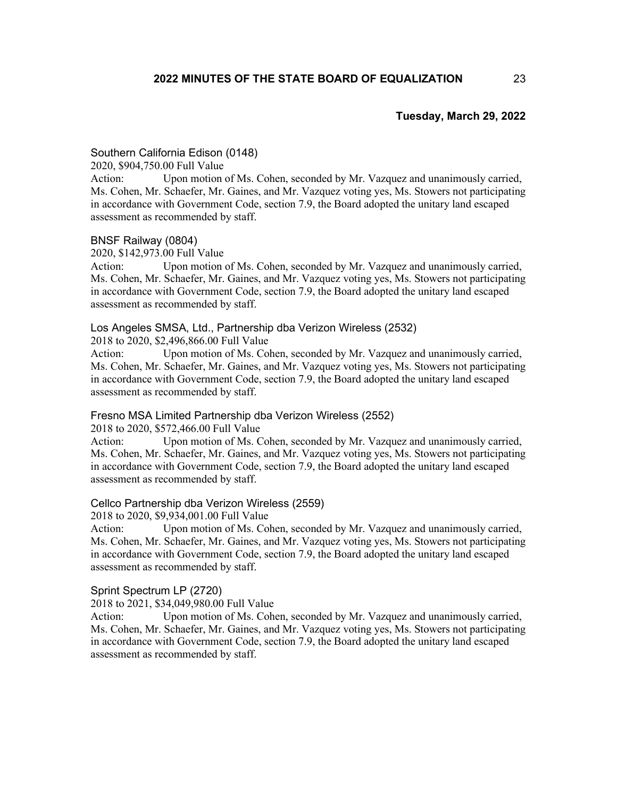# Southern California Edison (0148)

2020, \$904,750.00 Full Value

Action: Upon motion of Ms. Cohen, seconded by Mr. Vazquez and unanimously carried, Ms. Cohen, Mr. Schaefer, Mr. Gaines, and Mr. Vazquez voting yes, Ms. Stowers not participating in accordance with Government Code, section 7.9, the Board adopted the unitary land escaped assessment as recommended by staff.

#### BNSF Railway (0804)

2020, \$142,973.00 Full Value

Action: Upon motion of Ms. Cohen, seconded by Mr. Vazquez and unanimously carried, Ms. Cohen, Mr. Schaefer, Mr. Gaines, and Mr. Vazquez voting yes, Ms. Stowers not participating in accordance with Government Code, section 7.9, the Board adopted the unitary land escaped assessment as recommended by staff.

### Los Angeles SMSA, Ltd., Partnership dba Verizon Wireless (2532)

2018 to 2020, \$2,496,866.00 Full Value

Action: Upon motion of Ms. Cohen, seconded by Mr. Vazquez and unanimously carried, Ms. Cohen, Mr. Schaefer, Mr. Gaines, and Mr. Vazquez voting yes, Ms. Stowers not participating in accordance with Government Code, section 7.9, the Board adopted the unitary land escaped assessment as recommended by staff.

### Fresno MSA Limited Partnership dba Verizon Wireless (2552)

2018 to 2020, \$572,466.00 Full Value

Action: Upon motion of Ms. Cohen, seconded by Mr. Vazquez and unanimously carried, Ms. Cohen, Mr. Schaefer, Mr. Gaines, and Mr. Vazquez voting yes, Ms. Stowers not participating in accordance with Government Code, section 7.9, the Board adopted the unitary land escaped assessment as recommended by staff.

#### Cellco Partnership dba Verizon Wireless (2559)

2018 to 2020, \$9,934,001.00 Full Value

Action: Upon motion of Ms. Cohen, seconded by Mr. Vazquez and unanimously carried, Ms. Cohen, Mr. Schaefer, Mr. Gaines, and Mr. Vazquez voting yes, Ms. Stowers not participating in accordance with Government Code, section 7.9, the Board adopted the unitary land escaped assessment as recommended by staff.

#### Sprint Spectrum LP (2720)

2018 to 2021, \$34,049,980.00 Full Value

Action: Upon motion of Ms. Cohen, seconded by Mr. Vazquez and unanimously carried, Ms. Cohen, Mr. Schaefer, Mr. Gaines, and Mr. Vazquez voting yes, Ms. Stowers not participating in accordance with Government Code, section 7.9, the Board adopted the unitary land escaped assessment as recommended by staff.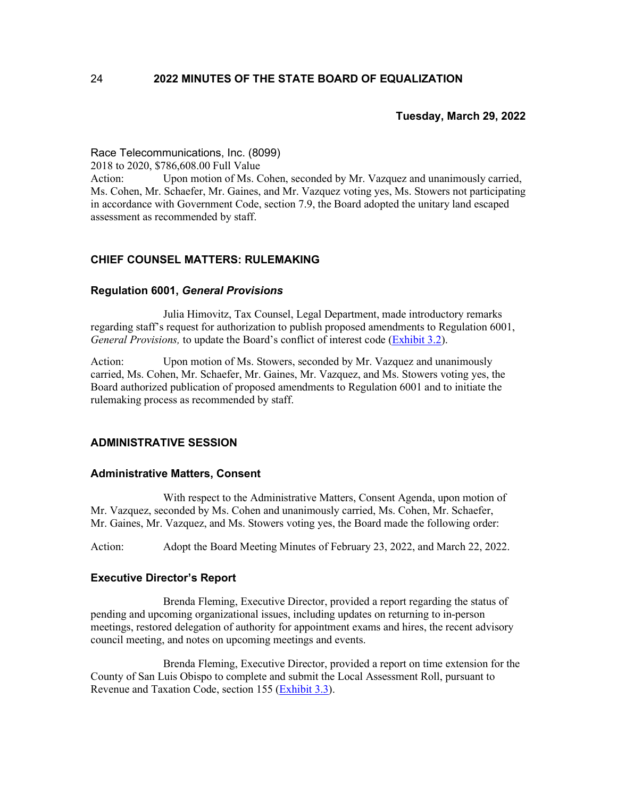### Race Telecommunications, Inc. (8099)

2018 to 2020, \$786,608.00 Full Value

Action: Upon motion of Ms. Cohen, seconded by Mr. Vazquez and unanimously carried, Ms. Cohen, Mr. Schaefer, Mr. Gaines, and Mr. Vazquez voting yes, Ms. Stowers not participating in accordance with Government Code, section 7.9, the Board adopted the unitary land escaped assessment as recommended by staff.

# **CHIEF COUNSEL MATTERS: RULEMAKING**

### **Regulation 6001,** *General Provisions*

Julia Himovitz, Tax Counsel, Legal Department, made introductory remarks regarding staff's request for authorization to publish proposed amendments to Regulation 6001, *General Provisions,* to update the Board's conflict of interest code [\(Exhibit](https://www.boe.ca.gov/meetings/pdf/2022/032922-G1-Reg6001-2022.pdf) 3.2).

Action: Upon motion of Ms. Stowers, seconded by Mr. Vazquez and unanimously carried, Ms. Cohen, Mr. Schaefer, Mr. Gaines, Mr. Vazquez, and Ms. Stowers voting yes, the Board authorized publication of proposed amendments to Regulation 6001 and to initiate the rulemaking process as recommended by staff.

# **ADMINISTRATIVE SESSION**

#### **Administrative Matters, Consent**

With respect to the Administrative Matters, Consent Agenda, upon motion of Mr. Vazquez, seconded by Ms. Cohen and unanimously carried, Ms. Cohen, Mr. Schaefer, Mr. Gaines, Mr. Vazquez, and Ms. Stowers voting yes, the Board made the following order:

Action: Adopt the Board Meeting Minutes of February 23, 2022, and March 22, 2022.

#### **Executive Director's Report**

Brenda Fleming, Executive Director, provided a report regarding the status of pending and upcoming organizational issues, including updates on returning to in-person meetings, restored delegation of authority for appointment exams and hires, the recent advisory council meeting, and notes on upcoming meetings and events.

Brenda Fleming, Executive Director, provided a report on time extension for the County of San Luis Obispo to complete and submit the Local Assessment Roll, pursuant to Revenue and Taxation Code, section 155 [\(Exhibit](https://www.boe.ca.gov/meetings/pdf/2022/032922-K1b-roll-ext.pdf) 3.3).

24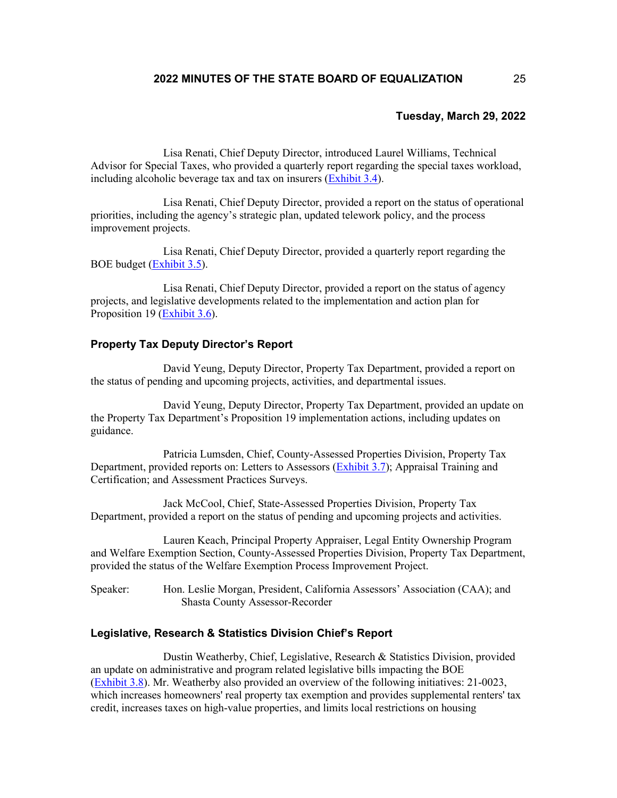Lisa Renati, Chief Deputy Director, introduced Laurel Williams, Technical Advisor for Special Taxes, who provided a quarterly report regarding the special taxes workload, including alcoholic beverage tax and tax on insurers [\(Exhibit](https://boe.ca.gov/meetings/pdf/2022/032922-K1c-ST-Qtly.pdf) 3.4).

Lisa Renati, Chief Deputy Director, provided a report on the status of operational priorities, including the agency's strategic plan, updated telework policy, and the process improvement projects.

Lisa Renati, Chief Deputy Director, provided a quarterly report regarding the BOE budget [\(Exhibit](https://www.boe.ca.gov/meetings/pdf/2022/032922-K1e-Budget-Quarterly.pdf) 3.5).

Lisa Renati, Chief Deputy Director, provided a report on the status of agency projects, and legislative developments related to the implementation and action plan for Proposition 19 [\(Exhibit](https://www.boe.ca.gov/meetings/pdf/2022/032922-K1g-Prop19-Implement-Plan.pdf) 3.6).

## **Property Tax Deputy Director's Report**

David Yeung, Deputy Director, Property Tax Department, provided a report on the status of pending and upcoming projects, activities, and departmental issues.

David Yeung, Deputy Director, Property Tax Department, provided an update on the Property Tax Department's Proposition 19 implementation actions, including updates on guidance.

Patricia Lumsden, Chief, County-Assessed Properties Division, Property Tax Department, provided reports on: Letters to Assessors [\(Exhibit](https://www.boe.ca.gov/meetings/pdf/2022/032922-K3a-LTA-Update.pdf) 3.7); Appraisal Training and Certification; and Assessment Practices Surveys.

Jack McCool, Chief, State-Assessed Properties Division, Property Tax Department, provided a report on the status of pending and upcoming projects and activities.

Lauren Keach, Principal Property Appraiser, Legal Entity Ownership Program and Welfare Exemption Section, County-Assessed Properties Division, Property Tax Department, provided the status of the Welfare Exemption Process Improvement Project.

Speaker: Hon. Leslie Morgan, President, California Assessors' Association (CAA); and Shasta County Assessor-Recorder

# **Legislative, Research & Statistics Division Chief's Report**

Dustin Weatherby, Chief, Legislative, Research & Statistics Division, provided an update on administrative and program related legislative bills impacting the BOE [\(Exhibit](https://www.boe.ca.gov/meetings/pdf/2022/032922-K4a-Leg-Update.pdf) 3.8). Mr. Weatherby also provided an overview of the following initiatives: 21-0023, which increases homeowners' real property tax exemption and provides supplemental renters' tax credit, increases taxes on high-value properties, and limits local restrictions on housing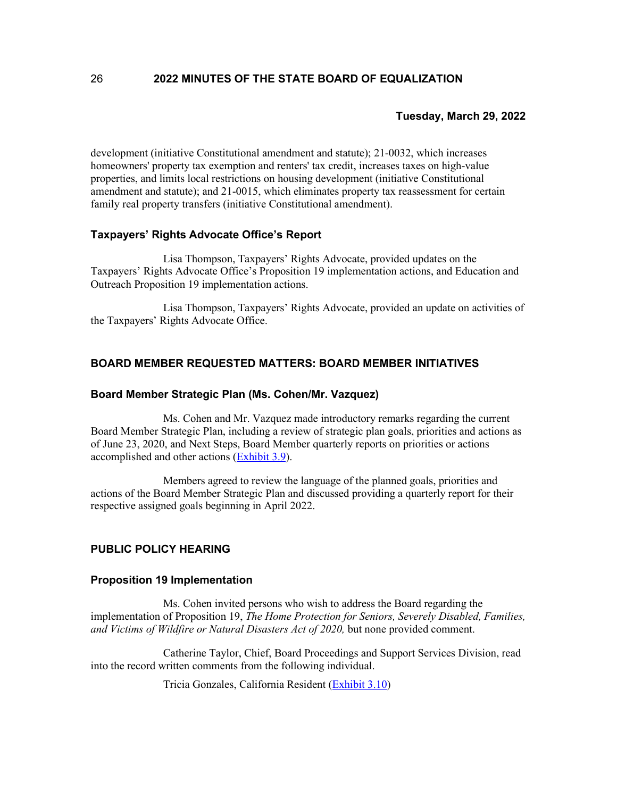development (initiative Constitutional amendment and statute); 21-0032, which increases homeowners' property tax exemption and renters' tax credit, increases taxes on high-value properties, and limits local restrictions on housing development (initiative Constitutional amendment and statute); and 21-0015, which eliminates property tax reassessment for certain family real property transfers (initiative Constitutional amendment).

# **Taxpayers' Rights Advocate Office's Report**

Lisa Thompson, Taxpayers' Rights Advocate, provided updates on the Taxpayers' Rights Advocate Office's Proposition 19 implementation actions, and Education and Outreach Proposition 19 implementation actions.

Lisa Thompson, Taxpayers' Rights Advocate, provided an update on activities of the Taxpayers' Rights Advocate Office.

# **BOARD MEMBER REQUESTED MATTERS: BOARD MEMBER INITIATIVES**

### **Board Member Strategic Plan (Ms. Cohen/Mr. Vazquez)**

Ms. Cohen and Mr. Vazquez made introductory remarks regarding the current Board Member Strategic Plan, including a review of strategic plan goals, priorities and actions as of June 23, 2020, and Next Steps, Board Member quarterly reports on priorities or actions accomplished and other actions [\(Exhibit](https://www.boe.ca.gov/meetings/pdf/2022/022322-L2a-BMStrategic-Plan.pdf) 3.9).

Members agreed to review the language of the planned goals, priorities and actions of the Board Member Strategic Plan and discussed providing a quarterly report for their respective assigned goals beginning in April 2022.

# **PUBLIC POLICY HEARING**

#### **Proposition 19 Implementation**

Ms. Cohen invited persons who wish to address the Board regarding the implementation of Proposition 19, *The Home Protection for Seniors, Severely Disabled, Families, and Victims of Wildfire or Natural Disasters Act of 2020,* but none provided comment.

Catherine Taylor, Chief, Board Proceedings and Support Services Division, read into the record written comments from the following individual.

Tricia Gonzales, California Resident [\(Exhibit](https://boe.ca.gov/meetings/pdf/2022/032922-M1-PubComm-Gonzales.pdf) 3.10)

26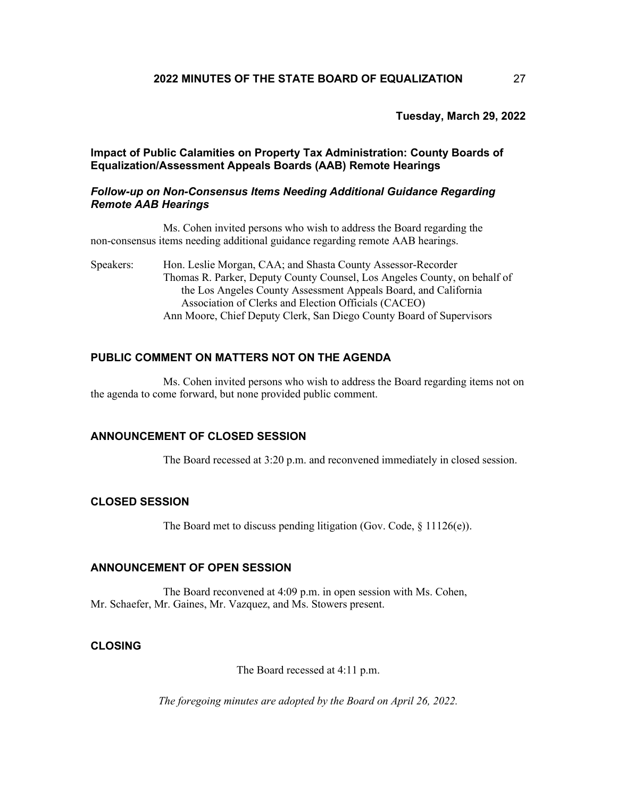**Impact of Public Calamities on Property Tax Administration: County Boards of Equalization/Assessment Appeals Boards (AAB) Remote Hearings**

#### *Follow-up on Non-Consensus Items Needing Additional Guidance Regarding Remote AAB Hearings*

Ms. Cohen invited persons who wish to address the Board regarding the non-consensus items needing additional guidance regarding remote AAB hearings.

Speakers: Hon. Leslie Morgan, CAA; and Shasta County Assessor-Recorder Thomas R. Parker, Deputy County Counsel, Los Angeles County, on behalf of the Los Angeles County Assessment Appeals Board, and California Association of Clerks and Election Officials (CACEO) Ann Moore, Chief Deputy Clerk, San Diego County Board of Supervisors

# **PUBLIC COMMENT ON MATTERS NOT ON THE AGENDA**

Ms. Cohen invited persons who wish to address the Board regarding items not on the agenda to come forward, but none provided public comment.

### **ANNOUNCEMENT OF CLOSED SESSION**

The Board recessed at 3:20 p.m. and reconvened immediately in closed session.

### **CLOSED SESSION**

The Board met to discuss pending litigation (Gov. Code, § 11126(e)).

## **ANNOUNCEMENT OF OPEN SESSION**

The Board reconvened at 4:09 p.m. in open session with Ms. Cohen, Mr. Schaefer, Mr. Gaines, Mr. Vazquez, and Ms. Stowers present.

# **CLOSING**

The Board recessed at 4:11 p.m.

*The foregoing minutes are adopted by the Board on April 26, 2022.*